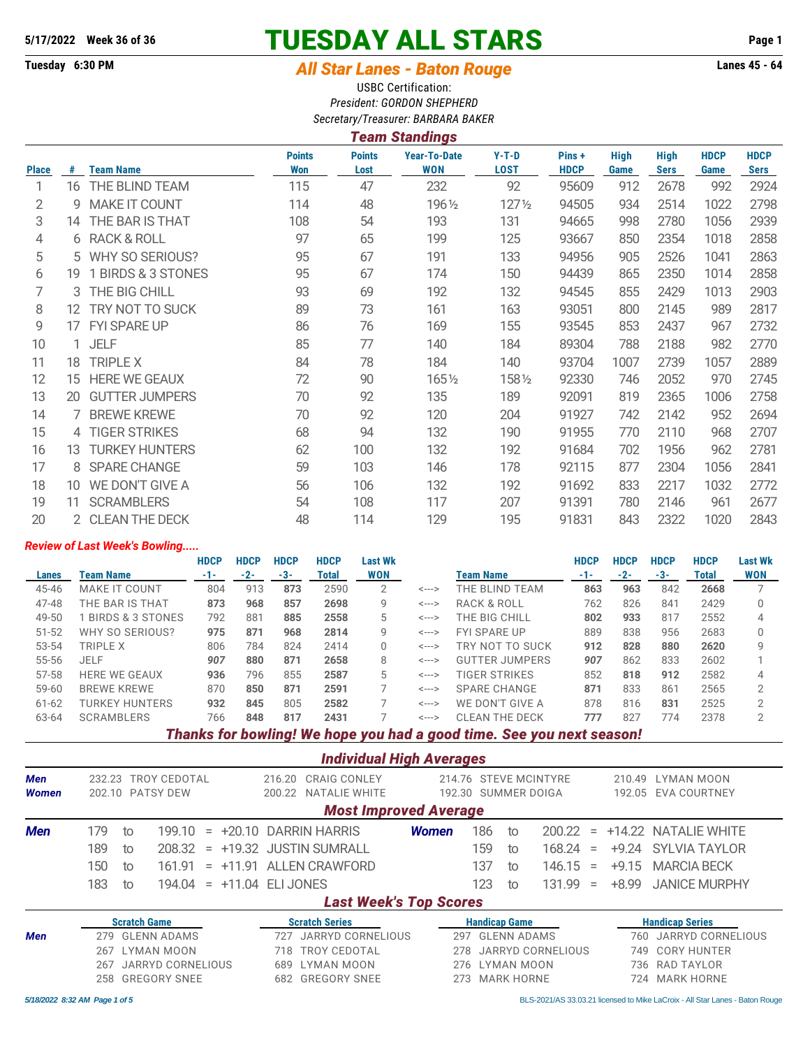# **5/17/2022 Week 36 of 36 TUESDAY ALL STARS Page 1**

# **Tuesday 6:30 PM** *All Star Lanes - Baton Rouge* **Lanes 45 - 64**

USBC Certification: *President: GORDON SHEPHERD Secretary/Treasurer: BARBARA BAKER*

## *Team Standings*

|              |    |                       | <b>Points</b> | <b>Points</b> | <b>Year-To-Date</b> | $Y-T-D$          | Pins+       | <b>High</b> | <b>High</b> | <b>HDCP</b> | <b>HDCP</b> |
|--------------|----|-----------------------|---------------|---------------|---------------------|------------------|-------------|-------------|-------------|-------------|-------------|
| <b>Place</b> | #  | <b>Team Name</b>      | <b>Won</b>    | Lost          | <b>WON</b>          | <b>LOST</b>      | <b>HDCP</b> | Game        | <b>Sers</b> | Game        | <b>Sers</b> |
| 1            |    | 16 THE BLIND TEAM     | 115           | 47            | 232                 | 92               | 95609       | 912         | 2678        | 992         | 2924        |
| 2            | 9  | <b>MAKE IT COUNT</b>  | 114           | 48            | 1961/2              | $127\frac{1}{2}$ | 94505       | 934         | 2514        | 1022        | 2798        |
| 3            |    | 14 THE BAR IS THAT    | 108           | 54            | 193                 | 131              | 94665       | 998         | 2780        | 1056        | 2939        |
| 4            |    | 6 RACK & ROLL         | 97            | 65            | 199                 | 125              | 93667       | 850         | 2354        | 1018        | 2858        |
| 5            | 5  | WHY SO SERIOUS?       | 95            | 67            | 191                 | 133              | 94956       | 905         | 2526        | 1041        | 2863        |
| 6            | 19 | 1 BIRDS & 3 STONES    | 95            | 67            | 174                 | 150              | 94439       | 865         | 2350        | 1014        | 2858        |
|              |    | 3 THE BIG CHILL       | 93            | 69            | 192                 | 132              | 94545       | 855         | 2429        | 1013        | 2903        |
| 8            |    | 12 TRY NOT TO SUCK    | 89            | 73            | 161                 | 163              | 93051       | 800         | 2145        | 989         | 2817        |
| 9            |    | 17 FYI SPARE UP       | 86            | 76            | 169                 | 155              | 93545       | 853         | 2437        | 967         | 2732        |
| 10           | 1  | <b>JELF</b>           | 85            | 77            | 140                 | 184              | 89304       | 788         | 2188        | 982         | 2770        |
| 11           |    | 18 TRIPLE X           | 84            | 78            | 184                 | 140              | 93704       | 1007        | 2739        | 1057        | 2889        |
| 12           | 15 | <b>HERE WE GEAUX</b>  | 72            | 90            | 1651/2              | 1581/2           | 92330       | 746         | 2052        | 970         | 2745        |
| 13           | 20 | <b>GUTTER JUMPERS</b> | 70            | 92            | 135                 | 189              | 92091       | 819         | 2365        | 1006        | 2758        |
| 14           |    | 7 BREWE KREWE         | 70            | 92            | 120                 | 204              | 91927       | 742         | 2142        | 952         | 2694        |
| 15           |    | 4 TIGER STRIKES       | 68            | 94            | 132                 | 190              | 91955       | 770         | 2110        | 968         | 2707        |
| 16           | 13 | <b>TURKEY HUNTERS</b> | 62            | 100           | 132                 | 192              | 91684       | 702         | 1956        | 962         | 2781        |
| 17           | 8  | <b>SPARE CHANGE</b>   | 59            | 103           | 146                 | 178              | 92115       | 877         | 2304        | 1056        | 2841        |
| 18           | 10 | WE DON'T GIVE A       | 56            | 106           | 132                 | 192              | 91692       | 833         | 2217        | 1032        | 2772        |
| 19           | 11 | <b>SCRAMBLERS</b>     | 54            | 108           | 117                 | 207              | 91391       | 780         | 2146        | 961         | 2677        |
| 20           |    | 2 CLEAN THE DECK      | 48            | 114           | 129                 | 195              | 91831       | 843         | 2322        | 1020        | 2843        |

### *Review of Last Week's Bowling.....*

|           |                      | <b>HDCP</b> | <b>HDCP</b> | <b>HDCP</b> | <b>HDCP</b> | <b>Last Wk</b> |                            |                       | <b>HDCP</b> | <b>HDCP</b> | <b>HDCP</b> | <b>HDCP</b> | <b>Last Wk</b> |
|-----------|----------------------|-------------|-------------|-------------|-------------|----------------|----------------------------|-----------------------|-------------|-------------|-------------|-------------|----------------|
| Lanes     | Team Name            | $-1-$       | $-2-$       | -3-         | Total       | <b>WON</b>     |                            | <b>Team Name</b>      | -1-         | $-2-$       | -3-         | Total       | <b>WON</b>     |
| 45-46     | <b>MAKE IT COUNT</b> | 804         | 913         | 873         | 2590        | 2              | $\leftarrow$ $\rightarrow$ | THE BLIND TEAM        | 863         | 963         | 842         | 2668        |                |
| 47-48     | THE BAR IS THAT      | 873         | 968         | 857         | 2698        | 9              | $\leftarrow$ $\rightarrow$ | RACK & ROLL           | 762         | 826         | 841         | 2429        | 0              |
| 49-50     | BIRDS & 3 STONES     | 792         | 881         | 885         | 2558        | 5              | $\leftarrow$ $\rightarrow$ | THE BIG CHILL         | 802         | 933         | 817         | 2552        | 4              |
| $51 - 52$ | WHY SO SERIOUS?      | 975         | 871         | 968         | 2814        | 9              | $\leftarrow$ $\rightarrow$ | <b>FYI SPARE UP</b>   | 889         | 838         | 956         | 2683        | 0              |
| 53-54     | TRIPLE X             | 806         | 784         | 824         | 2414        | 0              | $\leftarrow$ $\rightarrow$ | TRY NOT TO SUCK       | 912         | 828         | 880         | 2620        | g              |
| 55-56     | <b>JELF</b>          | 907         | 880         | 871         | 2658        | 8              | $\leftarrow$ $\rightarrow$ | <b>GUTTER JUMPERS</b> | 907         | 862         | 833         | 2602        |                |
| 57-58     | <b>HERE WE GEAUX</b> | 936         | 796         | 855         | 2587        | 5              | $\leftarrow$ $\rightarrow$ | <b>TIGER STRIKES</b>  | 852         | 818         | 912         | 2582        | 4              |
| $59 - 60$ | <b>BREWE KREWE</b>   | 870         | 850         | 871         | 2591        |                | $\leftarrow$ $\rightarrow$ | <b>SPARE CHANGE</b>   | 871         | 833         | 861         | 2565        | 2              |
| $61 - 62$ | TURKEY HUNTERS       | 932         | 845         | 805         | 2582        |                | $\leftarrow$ $\rightarrow$ | WE DON'T GIVE A       | 878         | 816         | 831         | 2525        | 2              |
| 63-64     | <b>SCRAMBLERS</b>    | 766         | 848         | 817         | 2431        |                | $\leftarrow$ $\rightarrow$ | <b>CLEAN THE DECK</b> | 777         | 827         | 774         | 2378        | 2              |
|           |                      |             |             |             |             |                |                            |                       |             |             |             |             |                |

*Thanks for bowling! We hope you had a good time. See you next season!*

*Individual High Averages*

| Men<br><b>Women</b> | 232.23                     |                     | TROY CEDOTAL<br>202.10 PATSY DEW |     |                     | 216.20<br>200.22              | <b>CRAIG CONLEY</b><br>NATALIE WHITE |                   | 214.76 STEVE MCINTYRE<br>192.30 SUMMER DOIGA |                      |    |                    |                    |            | 210.49  | LYMAN MOON<br>192.05 EVA COURTNEY |  |  |
|---------------------|----------------------------|---------------------|----------------------------------|-----|---------------------|-------------------------------|--------------------------------------|-------------------|----------------------------------------------|----------------------|----|--------------------|--------------------|------------|---------|-----------------------------------|--|--|
|                     |                            |                     |                                  |     |                     |                               |                                      |                   | <b>Most Improved Average</b>                 |                      |    |                    |                    |            |         |                                   |  |  |
| <b>Men</b>          | 179                        | to                  | 199.10                           | $=$ |                     |                               | +20.10 DARRIN HARRIS                 |                   | <b>Women</b>                                 | 186                  | to |                    | 200.22             | $=$        |         | +14.22 NATALIE WHITE              |  |  |
|                     | 189                        | to                  | 208.32                           |     |                     |                               | $= +19.32$ JUSTIN SUMRALL            |                   |                                              | 159                  | to |                    | 168.24             | $=$        |         | +9.24 SYLVIA TAYLOR               |  |  |
|                     | 150                        | to                  | 161 91                           | $=$ | $+11.91$            |                               | ALLEN CRAWFORD                       |                   |                                              | 137                  | to |                    | 146.15             | $=$        | $+9.15$ | <b>MARCIA BECK</b>                |  |  |
|                     | 183                        | to                  | 194.04                           |     | $= +11.04$ FLIJONES |                               |                                      |                   |                                              | 123                  | to |                    | 131 99             | $=$        | $+8.99$ | <b>JANICE MURPHY</b>              |  |  |
|                     |                            |                     |                                  |     |                     | <b>Last Week's Top Scores</b> |                                      |                   |                                              |                      |    |                    |                    |            |         |                                   |  |  |
|                     |                            | <b>Scratch Game</b> |                                  |     |                     |                               | <b>Scratch Series</b>                |                   |                                              | <b>Handicap Game</b> |    |                    |                    |            |         | <b>Handicap Series</b>            |  |  |
| Men                 | 279                        |                     | <b>GLENN ADAMS</b>               |     |                     | 727                           |                                      | JARRYD CORNELIOUS | 297                                          |                      |    | <b>GLENN ADAMS</b> |                    |            |         | JARRYD CORNELIOUS<br>760          |  |  |
|                     | LYMAN MOON<br>267          |                     |                                  |     | 718                 | <b>TROY CEDOTAL</b>           |                                      |                   | JARRYD CORNELIOUS<br>278                     |                      |    | 749                | <b>CORY HUNTER</b> |            |         |                                   |  |  |
|                     | JARRYD CORNELIOUS<br>267   |                     |                                  |     | LYMAN MOON<br>689   |                               |                                      |                   | 276 LYMAN MOON                               |                      |    |                    | 736                | RAD TAYLOR |         |                                   |  |  |
|                     | <b>GREGORY SNEE</b><br>258 |                     |                                  | 682 | <b>GREGORY SNEE</b> |                               |                                      |                   |                                              | 273 MARK HORNE       |    |                    | 724                | MARK HORNE |         |                                   |  |  |

*5/18/2022 8:32 AM Page 1 of 5* BLS-2021/AS 33.03.21 licensed to Mike LaCroix - All Star Lanes - Baton Rouge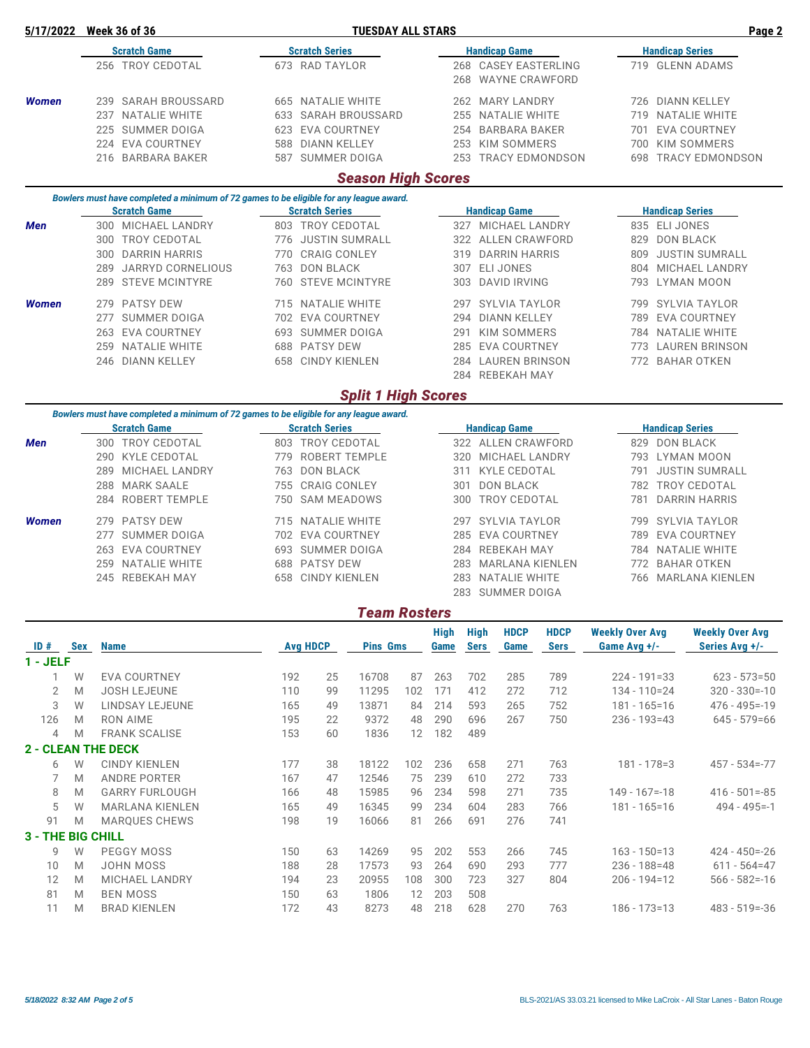| 5/17/2022                | <b>Week 36 of 36</b>                                                                                          |                                   |                                               | <b>TUESDAY ALL STARS</b>   |     | Page 2      |             |                                        |                     |                        |                        |                        |  |
|--------------------------|---------------------------------------------------------------------------------------------------------------|-----------------------------------|-----------------------------------------------|----------------------------|-----|-------------|-------------|----------------------------------------|---------------------|------------------------|------------------------|------------------------|--|
|                          | <b>Scratch Game</b>                                                                                           |                                   | <b>Scratch Series</b>                         |                            |     |             |             | <b>Handicap Game</b>                   |                     |                        | <b>Handicap Series</b> |                        |  |
|                          | 256 TROY CEDOTAL                                                                                              |                                   | 673 RAD TAYLOR                                |                            |     |             | 268         | 268 CASEY EASTERLING<br>WAYNE CRAWFORD |                     |                        |                        | 719 GLENN ADAMS        |  |
| <b>Women</b>             | 239 SARAH BROUSSARD                                                                                           |                                   | 665 NATALIE WHITE                             |                            |     |             |             | 262 MARY LANDRY                        |                     |                        |                        | 726 DIANN KELLEY       |  |
|                          | 237 NATALIE WHITE                                                                                             |                                   |                                               | 633 SARAH BROUSSARD        |     |             | 255         | NATALIE WHITE                          |                     |                        |                        | 719 NATALIE WHITE      |  |
|                          | 225 SUMMER DOIGA                                                                                              |                                   | 623 EVA COURTNEY                              |                            |     |             | 254         | <b>BARBARA BAKER</b>                   |                     |                        |                        | 701 EVA COURTNEY       |  |
|                          | 224 EVA COURTNEY                                                                                              | 588                               | <b>DIANN KELLEY</b>                           |                            |     |             | 253         | <b>KIM SOMMERS</b>                     |                     |                        |                        | 700 KIM SOMMERS        |  |
|                          | 216 BARBARA BAKER                                                                                             |                                   | 587 SUMMER DOIGA                              |                            |     |             |             |                                        | 253 TRACY EDMONDSON |                        |                        | 698 TRACY EDMONDSON    |  |
|                          |                                                                                                               |                                   |                                               | <b>Season High Scores</b>  |     |             |             |                                        |                     |                        |                        |                        |  |
|                          | Bowlers must have completed a minimum of 72 games to be eligible for any league award.<br><b>Scratch Game</b> |                                   | <b>Scratch Series</b>                         |                            |     |             |             | <b>Handicap Game</b>                   |                     |                        | <b>Handicap Series</b> |                        |  |
| Men                      | 300 MICHAEL LANDRY                                                                                            |                                   | 803 TROY CEDOTAL                              |                            |     |             |             | 327 MICHAEL LANDRY                     |                     |                        | 835 ELI JONES          |                        |  |
|                          | 300 TROY CEDOTAL                                                                                              |                                   | 776 JUSTIN SUMRALL                            |                            |     |             | 322         | ALLEN CRAWFORD                         |                     | 829                    |                        | <b>DON BLACK</b>       |  |
|                          | 300 DARRIN HARRIS                                                                                             | 770 CRAIG CONLEY<br>763 DON BLACK |                                               |                            |     |             | 319         | DARRIN HARRIS                          |                     | 809                    |                        | JUSTIN SUMRALL         |  |
|                          | JARRYD CORNELIOUS<br>289                                                                                      |                                   |                                               |                            |     |             | 307         | <b>ELI JONES</b>                       |                     |                        |                        | 804 MICHAEL LANDRY     |  |
|                          | <b>STEVE MCINTYRE</b><br>289                                                                                  |                                   |                                               | 760 STEVE MCINTYRE         |     |             | 303         | <b>DAVID IRVING</b>                    |                     | 793                    |                        | LYMAN MOON             |  |
| <b>Women</b>             | <b>PATSY DEW</b><br>279                                                                                       |                                   | 715 NATALIE WHITE                             |                            |     |             | 297         | <b>SYLVIA TAYLOR</b>                   |                     |                        |                        | 799 SYLVIA TAYLOR      |  |
|                          | 277 SUMMER DOIGA                                                                                              |                                   | 702 EVA COURTNEY                              |                            |     |             | 294         | <b>DIANN KELLEY</b>                    |                     |                        |                        | 789 EVA COURTNEY       |  |
|                          | 263 EVA COURTNEY                                                                                              |                                   | 693 SUMMER DOIGA                              |                            |     |             | 291         | <b>KIM SOMMERS</b>                     |                     |                        |                        | 784 NATALIE WHITE      |  |
|                          | 259 NATALIE WHITE                                                                                             |                                   | 688 PATSY DEW                                 |                            |     |             | 285         | EVA COURTNEY                           |                     |                        |                        | 773 LAUREN BRINSON     |  |
|                          | 246 DIANN KELLEY                                                                                              |                                   | 658 CINDY KIENLEN                             |                            |     |             |             | 284 LAUREN BRINSON                     |                     |                        |                        | 772 BAHAR OTKEN        |  |
|                          |                                                                                                               |                                   |                                               |                            |     |             |             | 284 REBEKAH MAY                        |                     |                        |                        |                        |  |
|                          | Bowlers must have completed a minimum of 72 games to be eligible for any league award.                        |                                   |                                               | <b>Split 1 High Scores</b> |     |             |             |                                        |                     |                        |                        |                        |  |
|                          | <b>Scratch Game</b>                                                                                           |                                   | <b>Scratch Series</b>                         |                            |     |             |             | <b>Handicap Game</b>                   |                     |                        | <b>Handicap Series</b> |                        |  |
| Men                      | 300 TROY CEDOTAL                                                                                              |                                   | 803 TROY CEDOTAL                              |                            |     |             |             | 322 ALLEN CRAWFORD                     |                     |                        |                        | 829 DON BLACK          |  |
|                          | 290 KYLE CEDOTAL                                                                                              |                                   | 779 ROBERT TEMPLE                             |                            |     |             | 320         | MICHAEL LANDRY                         |                     |                        |                        | 793 LYMAN MOON         |  |
|                          | MICHAEL LANDRY<br>289                                                                                         |                                   | 763 DON BLACK                                 |                            |     |             | 311         | KYLE CEDOTAL                           |                     |                        |                        | 791 JUSTIN SUMRALL     |  |
|                          | <b>MARK SAALE</b><br>288                                                                                      |                                   | <b>CRAIG CONLEY</b><br>755<br>750 SAM MEADOWS |                            |     |             | 301         | <b>DON BLACK</b>                       |                     |                        |                        | 782 TROY CEDOTAL       |  |
|                          | 284 ROBERT TEMPLE                                                                                             |                                   |                                               |                            |     |             | 300         | <b>TROY CEDOTAL</b>                    |                     | 781                    |                        | <b>DARRIN HARRIS</b>   |  |
| <b>Women</b>             | 279 PATSY DEW                                                                                                 | 715 NATALIE WHITE                 |                                               |                            |     |             | 297         | <b>SYLVIA TAYLOR</b>                   |                     |                        |                        | 799 SYLVIA TAYLOR      |  |
|                          | 277 SUMMER DOIGA                                                                                              |                                   | 702 EVA COURTNEY                              |                            |     |             | 285         | <b>EVA COURTNEY</b>                    |                     |                        |                        | 789 EVA COURTNEY       |  |
|                          | 263 EVA COURTNEY                                                                                              |                                   | 693 SUMMER DOIGA                              |                            |     |             |             | 284 REBEKAH MAY                        |                     |                        |                        | 784 NATALIE WHITE      |  |
|                          | 259 NATALIE WHITE                                                                                             |                                   | 688 PATSY DEW                                 |                            |     |             | 283         | MARLANA KIENLEN                        |                     | 772 BAHAR OTKEN        |                        |                        |  |
|                          | 245 REBEKAH MAY                                                                                               |                                   | 658 CINDY KIENLEN                             |                            |     |             | 283         | NATALIE WHITE                          |                     | 766 MARLANA KIENLEN    |                        |                        |  |
|                          |                                                                                                               |                                   |                                               | <b>Team Rosters</b>        |     |             | 283         | <b>SUMMER DOIGA</b>                    |                     |                        |                        |                        |  |
|                          |                                                                                                               |                                   |                                               |                            |     | <b>High</b> | High        | <b>HDCP</b>                            | <b>HDCP</b>         | <b>Weekly Over Avg</b> |                        | <b>Weekly Over Avg</b> |  |
| $ID#$ Sex<br>$1 - JELF$  | <b>Name</b>                                                                                                   |                                   | <b>Avg HDCP</b>                               | <b>Pins Gms</b>            |     | Game        | <b>Sers</b> | Game                                   | <b>Sers</b>         | Game Avg +/-           |                        | Series Avg +/-         |  |
| $\mathbf{1}$             | W<br><b>EVA COURTNEY</b>                                                                                      | 192                               | 25                                            | 16708                      | 87  | 263         | 702         | 285                                    | 789                 | $224 - 191 = 33$       |                        | $623 - 573 = 50$       |  |
| $\sqrt{2}$               | M<br><b>JOSH LEJEUNE</b>                                                                                      | 110                               | 99                                            | 11295                      | 102 | 171         | 412         | 272                                    | 712                 | 134 - 110=24           |                        | $320 - 330 = -10$      |  |
| 3                        | LINDSAY LEJEUNE<br>W                                                                                          | 165                               | 49                                            | 13871                      | 84  | 214         | 593         | 265                                    | 752                 | $181 - 165 = 16$       |                        | $476 - 495 = -19$      |  |
| 126                      | <b>RON AIME</b><br>M                                                                                          | 195                               | 22                                            | 9372                       | 48  | 290         | 696         | 267                                    | 750                 | $236 - 193 = 43$       |                        | $645 - 579 = 66$       |  |
| $\overline{4}$           | <b>FRANK SCALISE</b><br>M                                                                                     | 153                               | 60                                            | 1836                       | 12  | 182         | 489         |                                        |                     |                        |                        |                        |  |
|                          | <b>2 - CLEAN THE DECK</b>                                                                                     |                                   |                                               |                            |     |             |             |                                        |                     |                        |                        |                        |  |
| 6                        | W<br><b>CINDY KIENLEN</b>                                                                                     | 177                               | 38                                            | 18122                      | 102 | 236         | 658         | 271                                    | 763                 | $181 - 178 = 3$        |                        | $457 - 534 = -77$      |  |
| 7                        | M<br><b>ANDRE PORTER</b>                                                                                      | 167                               | 47                                            | 12546                      | 75  | 239         | 610         | 272                                    | 733                 |                        |                        |                        |  |
| 8                        | <b>GARRY FURLOUGH</b><br>M                                                                                    | 166                               | 48                                            | 15985                      | 96  | 234         | 598         | 271                                    | 735                 | $149 - 167 = -18$      |                        | $416 - 501 = -85$      |  |
| 5                        | W<br><b>MARLANA KIENLEN</b>                                                                                   | 165                               | 49                                            | 16345                      | 99  | 234         | 604         | 283                                    | 766                 | $181 - 165 = 16$       |                        | $494 - 495 = -1$       |  |
| 91                       | <b>MARQUES CHEWS</b><br>M                                                                                     | 198                               | 19                                            | 16066                      | 81  | 266         | 691         | 276                                    | 741                 |                        |                        |                        |  |
| <b>3 - THE BIG CHILL</b> |                                                                                                               |                                   |                                               |                            |     |             |             |                                        |                     |                        |                        |                        |  |
| 9                        | W<br>PEGGY MOSS                                                                                               | 150                               | 63                                            | 14269                      | 95  | 202         | 553         | 266                                    | 745                 | $163 - 150 = 13$       |                        | $424 - 450 = -26$      |  |
| 10                       | M<br><b>JOHN MOSS</b>                                                                                         | 188                               | 28                                            | 17573                      | 93  | 264         | 690         | 293                                    | 777                 | $236 - 188 = 48$       |                        | $611 - 564 = 47$       |  |
| 12                       | MICHAEL LANDRY<br>M                                                                                           | 194                               | 23                                            | 20955                      | 108 | 300         | 723         | 327                                    | 804                 | $206 - 194 = 12$       |                        | $566 - 582 = -16$      |  |
| 81                       | M<br><b>BEN MOSS</b>                                                                                          | 150                               | 63                                            | 1806                       | 12  | 203         | 508         |                                        |                     |                        |                        |                        |  |
| 11                       | M<br><b>BRAD KIENLEN</b>                                                                                      | 172                               | 43                                            | 8273                       | 48  | 218         | 628         | 270                                    | 763                 | $186 - 173 = 13$       |                        | $483 - 519 = -36$      |  |
|                          |                                                                                                               |                                   |                                               |                            |     |             |             |                                        |                     |                        |                        |                        |  |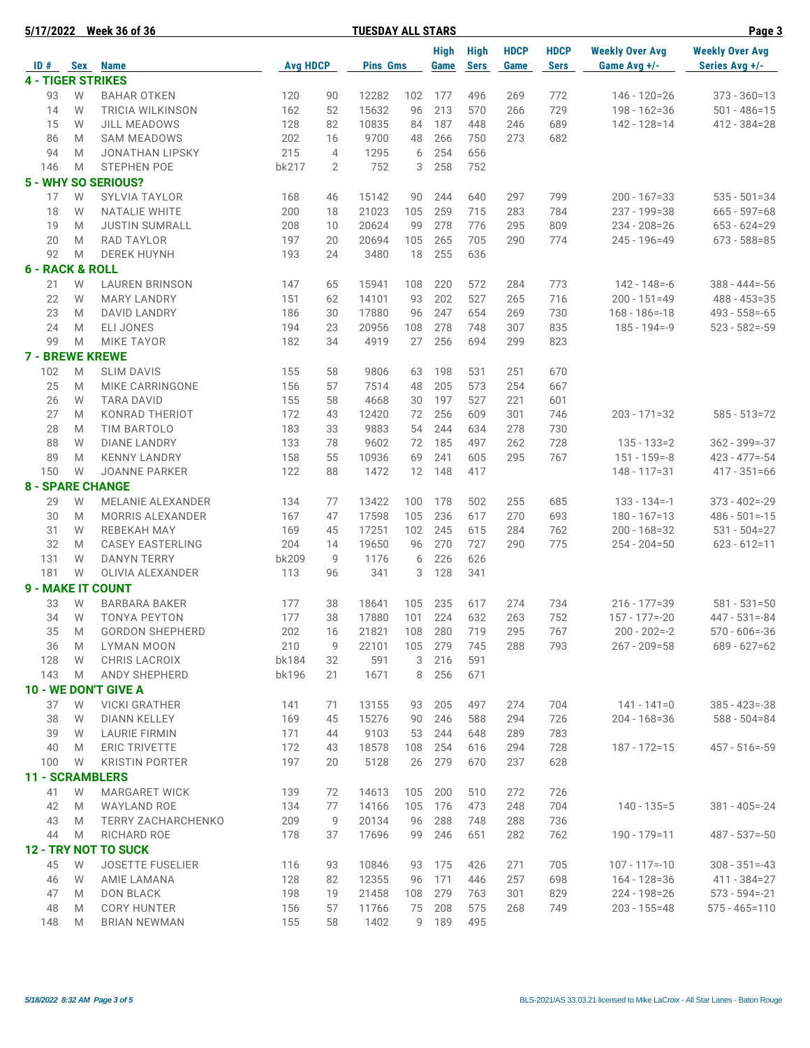|                          |        | 5/17/2022 Week 36 of 36                       |                 |                | <b>TUESDAY ALL STARS</b> |           |                     |                            |                     |                            |                                        | Page 3                                   |
|--------------------------|--------|-----------------------------------------------|-----------------|----------------|--------------------------|-----------|---------------------|----------------------------|---------------------|----------------------------|----------------------------------------|------------------------------------------|
| ID#                      |        | Sex Name                                      | <b>Avg HDCP</b> |                | <b>Pins Gms</b>          |           | <b>High</b><br>Game | <b>High</b><br><b>Sers</b> | <b>HDCP</b><br>Game | <b>HDCP</b><br><b>Sers</b> | <b>Weekly Over Avg</b><br>Game Avg +/- | <b>Weekly Over Avg</b><br>Series Avg +/- |
| <b>4 - TIGER STRIKES</b> |        |                                               |                 |                |                          |           |                     |                            |                     |                            |                                        |                                          |
| 93                       | W      | <b>BAHAR OTKEN</b>                            | 120             | 90             | 12282                    | 102       | 177                 | 496                        | 269                 | 772                        | $146 - 120 = 26$                       | $373 - 360 = 13$                         |
| 14                       | W      | <b>TRICIA WILKINSON</b>                       | 162             | 52             | 15632                    | 96        | 213                 | 570                        | 266                 | 729                        | $198 - 162 = 36$                       | $501 - 486 = 15$                         |
| 15                       | W      | <b>JILL MEADOWS</b>                           | 128             | 82             | 10835                    | 84        | 187                 | 448                        | 246                 | 689                        | $142 - 128 = 14$                       | $412 - 384 = 28$                         |
| 86                       | M      | <b>SAM MEADOWS</b>                            | 202             | 16             | 9700                     | 48        | 266                 | 750                        | 273                 | 682                        |                                        |                                          |
| 94                       | M      | <b>JONATHAN LIPSKY</b>                        | 215             | $\overline{4}$ | 1295                     | 6         | 254                 | 656                        |                     |                            |                                        |                                          |
| 146                      | M      | <b>STEPHEN POE</b>                            | bk217           | $\overline{2}$ | 752                      | 3         | 258                 | 752                        |                     |                            |                                        |                                          |
|                          |        | <b>5 - WHY SO SERIOUS?</b>                    |                 |                |                          |           |                     |                            |                     |                            |                                        |                                          |
| 17                       | W      | <b>SYLVIA TAYLOR</b>                          | 168             | 46             | 15142                    | 90        | 244                 | 640                        | 297                 | 799                        | $200 - 167 = 33$                       | $535 - 501 = 34$                         |
| 18                       | W      |                                               | 200             | 18             | 21023                    | 105       | 259                 | 715                        | 283                 | 784                        | $237 - 199 = 38$                       | $665 - 597 = 68$                         |
| 19                       | M      | <b>NATALIE WHITE</b><br><b>JUSTIN SUMRALL</b> | 208             | 10             | 20624                    | 99        | 278                 | 776                        | 295                 | 809                        | 234 - 208 = 26                         | $653 - 624 = 29$                         |
|                          |        |                                               |                 |                |                          |           | 265                 | 705                        |                     | 774                        |                                        | $673 - 588 = 85$                         |
| 20<br>92                 | M<br>M | RAD TAYLOR<br><b>DEREK HUYNH</b>              | 197<br>193      | 20<br>24       | 20694<br>3480            | 105<br>18 | 255                 | 636                        | 290                 |                            | 245 - 196=49                           |                                          |
| 6 - RACK & ROLL          |        |                                               |                 |                |                          |           |                     |                            |                     |                            |                                        |                                          |
|                          |        |                                               |                 |                |                          |           |                     |                            |                     |                            |                                        |                                          |
| 21                       | W      | <b>LAUREN BRINSON</b>                         | 147             | 65             | 15941                    | 108       | 220                 | 572                        | 284                 | 773                        | $142 - 148 = -6$                       | $388 - 444 = -56$                        |
| 22                       | W      | <b>MARY LANDRY</b>                            | 151             | 62             | 14101                    | 93        | 202                 | 527                        | 265                 | 716                        | $200 - 151 = 49$                       | $488 - 453 = 35$<br>$493 - 558 = -65$    |
| 23                       | M      | <b>DAVID LANDRY</b>                           | 186             | 30             | 17880                    | 96        | 247                 | 654                        | 269                 | 730                        | $168 - 186 = -18$                      |                                          |
| 24                       | M      | <b>ELI JONES</b>                              | 194             | 23             | 20956                    | 108       | 278                 | 748                        | 307                 | 835                        | $185 - 194 = -9$                       | $523 - 582 = -59$                        |
| 99                       | M      | <b>MIKE TAYOR</b>                             | 182             | 34             | 4919                     | 27        | 256                 | 694                        | 299                 | 823                        |                                        |                                          |
| <b>7 - BREWE KREWE</b>   |        |                                               |                 |                |                          |           |                     |                            |                     |                            |                                        |                                          |
| 102                      | M      | <b>SLIM DAVIS</b>                             | 155             | 58             | 9806                     | 63        | 198                 | 531                        | 251                 | 670                        |                                        |                                          |
| 25                       | M      | MIKE CARRINGONE                               | 156             | 57             | 7514                     | 48        | 205                 | 573                        | 254                 | 667                        |                                        |                                          |
| 26                       | W      | <b>TARA DAVID</b>                             | 155             | 58             | 4668                     | 30        | 197                 | 527                        | 221                 | 601                        |                                        |                                          |
| 27                       | M      | <b>KONRAD THERIOT</b>                         | 172             | 43             | 12420                    | 72        | 256                 | 609                        | 301                 | 746                        | 203 - 171=32                           | $585 - 513 = 72$                         |
| 28                       | M      | <b>TIM BARTOLO</b>                            | 183             | 33             | 9883                     | 54        | 244                 | 634                        | 278                 | 730                        |                                        |                                          |
| 88                       | W      | <b>DIANE LANDRY</b>                           | 133             | 78             | 9602                     | 72        | 185                 | 497                        | 262                 | 728                        | $135 - 133 = 2$                        | $362 - 399 = -37$                        |
| 89                       | M      | <b>KENNY LANDRY</b>                           | 158             | 55             | 10936                    | 69        | 241                 | 605                        | 295                 | 767                        | $151 - 159 = -8$                       | $423 - 477 = -54$                        |
| 150                      | W      | <b>JOANNE PARKER</b>                          | 122             | 88             | 1472                     | 12        | 148                 | 417                        |                     |                            | 148 - 117=31                           | $417 - 351 = 66$                         |
| <b>8 - SPARE CHANGE</b>  |        |                                               |                 |                |                          |           |                     |                            |                     |                            |                                        |                                          |
| 29                       | W      | <b>MELANIE ALEXANDER</b>                      | 134             | 77             | 13422                    | 100       | 178                 | 502                        | 255                 | 685                        | $133 - 134 = -1$                       | $373 - 402 = -29$                        |
| 30                       | M      | <b>MORRIS ALEXANDER</b>                       | 167             | 47             | 17598                    | 105       | 236                 | 617                        | 270                 | 693                        | $180 - 167 = 13$                       | $486 - 501 = -15$                        |
| 31                       | W      | <b>REBEKAH MAY</b>                            | 169             | 45             | 17251                    | 102       | 245                 | 615                        | 284                 | 762                        | 200 - 168=32                           | $531 - 504 = 27$                         |
| 32                       | M      | <b>CASEY EASTERLING</b>                       | 204             | 14             | 19650                    | 96        | 270                 | 727                        | 290                 | 775                        | $254 - 204 = 50$                       | $623 - 612 = 11$                         |
| 131                      | W      | <b>DANYN TERRY</b>                            | bk209           | 9              | 1176                     | 6         | 226                 | 626                        |                     |                            |                                        |                                          |
| 181                      | W      | OLIVIA ALEXANDER                              | 113             | 96             | 341                      | 3         | 128                 | 341                        |                     |                            |                                        |                                          |
| 9 - MAKE IT COUNT        |        |                                               |                 |                |                          |           |                     |                            |                     |                            |                                        |                                          |
| 33                       | W      | <b>BARBARA BAKER</b>                          | 177             | 38             | 18641                    | 105       | 235                 | 617                        | 274                 | 734                        | $216 - 177 = 39$                       | $581 - 531 = 50$                         |
| 34                       | W      | TONYA PEYTON                                  | 177             | 38             | 17880                    | 101       |                     | 224 632                    | 263                 | 752                        | $157 - 177 = -20$                      | $447 - 531 = -84$                        |
| 35                       | M      | <b>GORDON SHEPHERD</b>                        | 202             | 16             | 21821                    | 108       | 280                 | 719                        | 295                 | 767                        | $200 - 202 = -2$                       | $570 - 606 = -36$                        |
| 36                       | M      | <b>LYMAN MOON</b>                             | 210             | 9              | 22101                    | 105       | 279                 | 745                        | 288                 | 793                        | $267 - 209 = 58$                       | $689 - 627 = 62$                         |
| 128                      | W      | CHRIS LACROIX                                 | bk184           | 32             | 591                      | 3         | 216                 | 591                        |                     |                            |                                        |                                          |
| 143                      | M      | <b>ANDY SHEPHERD</b>                          | bk196           | 21             | 1671                     | 8         | 256                 | 671                        |                     |                            |                                        |                                          |
|                          |        | 10 - WE DON'T GIVE A                          |                 |                |                          |           |                     |                            |                     |                            |                                        |                                          |
| 37                       | W      | <b>VICKI GRATHER</b>                          | 141             | 71             | 13155                    | 93        | 205                 | 497                        | 274                 | 704                        | 141 - 141=0                            | $385 - 423 = -38$                        |
| 38                       | W      | DIANN KELLEY                                  | 169             | 45             | 15276                    | 90        | 246                 | 588                        | 294                 | 726                        | 204 - 168 = 36                         | $588 - 504 = 84$                         |
| 39                       | W      | <b>LAURIE FIRMIN</b>                          | 171             | 44             | 9103                     | 53        | 244                 | 648                        | 289                 | 783                        |                                        |                                          |
| 40                       | M      | <b>ERIC TRIVETTE</b>                          | 172             | 43             | 18578                    | 108       | 254                 | 616                        | 294                 | 728                        | 187 - 172=15                           | $457 - 516 = -59$                        |
| 100                      | W      | <b>KRISTIN PORTER</b>                         | 197             | 20             | 5128                     | 26        | 279                 | 670                        | 237                 | 628                        |                                        |                                          |
| <b>11 - SCRAMBLERS</b>   |        |                                               |                 |                |                          |           |                     |                            |                     |                            |                                        |                                          |
| 41                       | W      | <b>MARGARET WICK</b>                          | 139             | 72             | 14613                    | 105       | 200                 | 510                        | 272                 | 726                        |                                        |                                          |
| 42                       | M      | WAYLAND ROE                                   | 134             | 77             | 14166                    | 105       | 176                 | 473                        | 248                 | 704                        | $140 - 135 = 5$                        | $381 - 405 = -24$                        |
| 43                       | M      | <b>TERRY ZACHARCHENKO</b>                     | 209             | 9              | 20134                    | 96        | 288                 | 748                        | 288                 | 736                        |                                        |                                          |
| 44                       | M      | RICHARD ROE                                   | 178             | 37             | 17696                    | 99        | 246                 | 651                        | 282                 | 762                        | 190 - 179=11                           | $487 - 537 = -50$                        |
|                          |        | <b>12 - TRY NOT TO SUCK</b>                   |                 |                |                          |           |                     |                            |                     |                            |                                        |                                          |
| 45                       | W      | <b>JOSETTE FUSELIER</b>                       | 116             | 93             | 10846                    | 93        | 175                 | 426                        | 271                 | 705                        | $107 - 117 = -10$                      | $308 - 351 = -43$                        |
| 46                       | W      | AMIE LAMANA                                   | 128             | 82             | 12355                    | 96        | 171                 | 446                        | 257                 | 698                        | 164 - 128 = 36                         | 411 - 384=27                             |
| 47                       | M      | <b>DON BLACK</b>                              | 198             | 19             | 21458                    | 108       | 279                 | 763                        | 301                 | 829                        | 224 - 198 = 26                         | $573 - 594 = -21$                        |
| 48                       | M      | <b>CORY HUNTER</b>                            | 156             | 57             | 11766                    |           | 75 208              | 575                        | 268                 | 749                        | $203 - 155 = 48$                       | $575 - 465 = 110$                        |
| 148                      | M      | <b>BRIAN NEWMAN</b>                           | 155             | 58             | 1402                     |           | 9 189               | 495                        |                     |                            |                                        |                                          |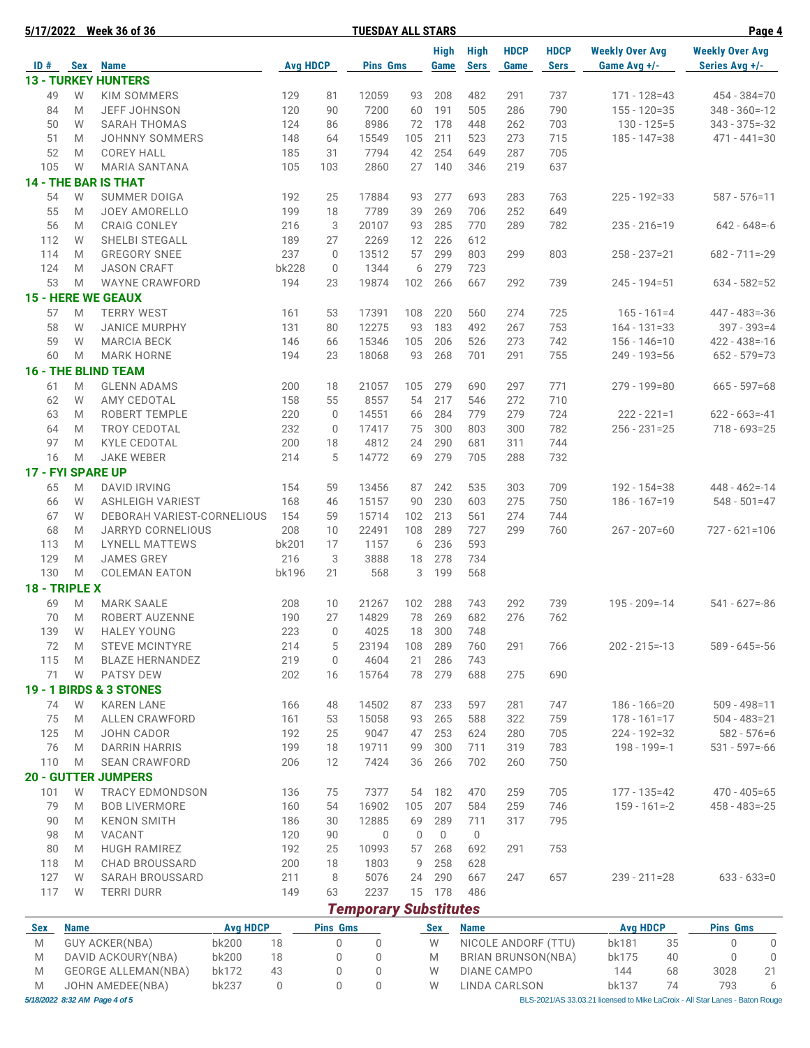| 5/17/2022 |                   | <b>Week 36 of 36</b>               |                 |                 | <b>TUESDAY ALL STARS</b>     |     |                     |                            |                     |                            |                                        | Page 4                                   |
|-----------|-------------------|------------------------------------|-----------------|-----------------|------------------------------|-----|---------------------|----------------------------|---------------------|----------------------------|----------------------------------------|------------------------------------------|
|           | ID # Sex Name     |                                    | <b>Avg HDCP</b> |                 | <b>Pins Gms</b>              |     | <b>High</b><br>Game | <b>High</b><br><b>Sers</b> | <b>HDCP</b><br>Game | <b>HDCP</b><br><b>Sers</b> | <b>Weekly Over Avg</b><br>Game Avg +/- | <b>Weekly Over Avg</b><br>Series Avg +/- |
|           |                   | <b>13 - TURKEY HUNTERS</b>         |                 |                 |                              |     |                     |                            |                     |                            |                                        |                                          |
| 49        | W                 | KIM SOMMERS                        | 129             | 81              | 12059                        | 93  | 208                 | 482                        | 291                 | 737                        | $171 - 128 = 43$                       | $454 - 384 = 70$                         |
| 84        | M                 | JEFF JOHNSON                       | 120             | 90              | 7200                         | 60  | 191                 | 505                        | 286                 | 790                        | $155 - 120 = 35$                       | $348 - 360 = -12$                        |
| 50        | W                 | <b>SARAH THOMAS</b>                | 124             | 86              | 8986                         | 72  | 178                 | 448                        | 262                 | 703                        | $130 - 125 = 5$                        | $343 - 375 = -32$                        |
| 51        | M                 | <b>JOHNNY SOMMERS</b>              | 148             | 64              | 15549                        | 105 | 211                 | 523                        | 273                 | 715                        | $185 - 147 = 38$                       | $471 - 441 = 30$                         |
| 52        | M                 | <b>COREY HALL</b>                  | 185             | 31              | 7794                         | 42  | 254                 | 649                        | 287                 | 705                        |                                        |                                          |
| 105       | W                 | <b>MARIA SANTANA</b>               | 105             | 103             | 2860                         | 27  | 140                 | 346                        | 219                 | 637                        |                                        |                                          |
|           |                   | <b>14 - THE BAR IS THAT</b>        |                 |                 |                              |     |                     |                            |                     |                            |                                        |                                          |
| 54        | W                 | <b>SUMMER DOIGA</b>                | 192             | 25              | 17884                        | 93  | 277                 | 693                        | 283                 | 763                        | $225 - 192 = 33$                       | $587 - 576 = 11$                         |
|           |                   |                                    |                 |                 |                              |     |                     |                            |                     |                            |                                        |                                          |
| 55        | M                 | <b>JOEY AMORELLO</b>               | 199             | 18              | 7789                         | 39  | 269                 | 706                        | 252                 | 649                        |                                        |                                          |
| 56        | M                 | <b>CRAIG CONLEY</b>                | 216             | 3               | 20107                        | 93  | 285                 | 770                        | 289                 | 782                        | $235 - 216 = 19$                       | $642 - 648 = -6$                         |
| 112       | W                 | SHELBI STEGALL                     | 189             | 27              | 2269                         | 12  | 226                 | 612                        |                     |                            |                                        |                                          |
| 114       | M                 | <b>GREGORY SNEE</b>                | 237             | $\mathbf 0$     | 13512                        | 57  | 299                 | 803                        | 299                 | 803                        | $258 - 237 = 21$                       | $682 - 711 = -29$                        |
| 124       | M                 | <b>JASON CRAFT</b>                 | bk228           | $\mathbf 0$     | 1344                         | 6   | 279                 | 723                        |                     |                            |                                        |                                          |
| 53        | M                 | <b>WAYNE CRAWFORD</b>              | 194             | 23              | 19874                        | 102 | 266                 | 667                        | 292                 | 739                        | $245 - 194 = 51$                       | $634 - 582 = 52$                         |
|           |                   | <b>15 - HERE WE GEAUX</b>          |                 |                 |                              |     |                     |                            |                     |                            |                                        |                                          |
| 57        | M                 | <b>TERRY WEST</b>                  | 161             | 53              | 17391                        | 108 | 220                 | 560                        | 274                 | 725                        | $165 - 161 = 4$                        | $447 - 483 = -36$                        |
| 58        | W                 | <b>JANICE MURPHY</b>               | 131             | 80              | 12275                        | 93  | 183                 | 492                        | 267                 | 753                        | $164 - 131 = 33$                       | $397 - 393 = 4$                          |
| 59        | W                 | <b>MARCIA BECK</b>                 | 146             | 66              | 15346                        | 105 | 206                 | 526                        | 273                 | 742                        | $156 - 146 = 10$                       | $422 - 438 = -16$                        |
| 60        | M                 | <b>MARK HORNE</b>                  | 194             | 23              | 18068                        | 93  | 268                 | 701                        | 291                 | 755                        | $249 - 193 = 56$                       | $652 - 579 = 73$                         |
|           |                   | <b>16 - THE BLIND TEAM</b>         |                 |                 |                              |     |                     |                            |                     |                            |                                        |                                          |
| 61        | M                 | <b>GLENN ADAMS</b>                 | 200             | 18              | 21057                        | 105 | 279                 | 690                        | 297                 | 771                        | $279 - 199 = 80$                       | $665 - 597 = 68$                         |
| 62        | W                 | AMY CEDOTAL                        | 158             | 55              | 8557                         | 54  | 217                 | 546                        | 272                 | 710                        |                                        |                                          |
| 63        | M                 | ROBERT TEMPLE                      | 220             | $\mathbf 0$     | 14551                        | 66  | 284                 | 779                        | 279                 | 724                        | $222 - 221 = 1$                        | $622 - 663 = -41$                        |
|           | M                 |                                    | 232             |                 | 17417                        |     | 300                 | 803                        | 300                 | 782                        |                                        | $718 - 693 = 25$                         |
| 64<br>97  |                   | <b>TROY CEDOTAL</b>                |                 | 0               | 4812                         | 75  | 290                 |                            |                     | 744                        | $256 - 231 = 25$                       |                                          |
|           | M                 | <b>KYLE CEDOTAL</b>                | 200             | 18              |                              | 24  |                     | 681                        | 311                 |                            |                                        |                                          |
| 16        | M                 | <b>JAKE WEBER</b>                  | 214             | 5               | 14772                        | 69  | 279                 | 705                        | 288                 | 732                        |                                        |                                          |
|           | 17 - FYI SPARE UP |                                    |                 |                 |                              |     |                     |                            |                     |                            |                                        |                                          |
| 65        | M                 | <b>DAVID IRVING</b>                | 154             | 59              | 13456                        | 87  | 242                 | 535                        | 303                 | 709                        | 192 - 154=38                           | $448 - 462 = -14$                        |
| 66        | W                 | <b>ASHLEIGH VARIEST</b>            | 168             | 46              | 15157                        | 90  | 230                 | 603                        | 275                 | 750                        | $186 - 167 = 19$                       | $548 - 501 = 47$                         |
| 67        | W                 | DEBORAH VARIEST-CORNELIOUS         | 154             | 59              | 15714                        | 102 | 213                 | 561                        | 274                 | 744                        |                                        |                                          |
| 68        | M                 | <b>JARRYD CORNELIOUS</b>           | 208             | 10              | 22491                        | 108 | 289                 | 727                        | 299                 | 760                        | $267 - 207 = 60$                       | $727 - 621 = 106$                        |
| 113       | M                 | <b>LYNELL MATTEWS</b>              | bk201           | 17              | 1157                         | 6   | 236                 | 593                        |                     |                            |                                        |                                          |
| 129       | M                 | <b>JAMES GREY</b>                  | 216             | 3               | 3888                         | 18  | 278                 | 734                        |                     |                            |                                        |                                          |
| 130       | M                 | <b>COLEMAN EATON</b>               | bk196           | 21              | 568                          | 3   | 199                 | 568                        |                     |                            |                                        |                                          |
|           | 18 - TRIPLE X     |                                    |                 |                 |                              |     |                     |                            |                     |                            |                                        |                                          |
| 69        | M                 | <b>MARK SAALE</b>                  | 208             | 10              | 21267                        | 102 | 288                 | 743                        | 292                 | 739                        | $195 - 209 = -14$                      | $541 - 627 = -86$                        |
| 70        | M                 | ROBERT AUZENNE                     | 190             | 27              | 14829                        |     | 78 269              | 682                        | 276                 | 762                        |                                        |                                          |
| 139       | W                 | <b>HALEY YOUNG</b>                 | 223             | 0               | 4025                         | 18  | 300                 | 748                        |                     |                            |                                        |                                          |
| 72        | M                 | <b>STEVE MCINTYRE</b>              | 214             | 5               | 23194                        | 108 | 289                 | 760                        | 291                 | 766                        | $202 - 215 = -13$                      | $589 - 645 = -56$                        |
| 115       | M                 | <b>BLAZE HERNANDEZ</b>             | 219             | 0               | 4604                         | 21  | 286                 | 743                        |                     |                            |                                        |                                          |
| 71        | W                 | <b>PATSY DEW</b>                   | 202             | 16              | 15764                        | 78  | 279                 | 688                        | 275                 | 690                        |                                        |                                          |
|           |                   |                                    |                 |                 |                              |     |                     |                            |                     |                            |                                        |                                          |
|           |                   | <b>19 - 1 BIRDS &amp; 3 STONES</b> |                 |                 |                              |     |                     |                            |                     |                            |                                        |                                          |
| 74        | W                 | <b>KAREN LANE</b>                  | 166             | 48              | 14502                        | 87  | 233                 | 597                        | 281                 | 747                        | $186 - 166 = 20$                       | $509 - 498 = 11$                         |
| 75        | M                 | ALLEN CRAWFORD                     | 161             | 53              | 15058                        | 93  | 265                 | 588                        | 322                 | 759                        | $178 - 161 = 17$                       | $504 - 483 = 21$                         |
| 125       | M                 | <b>JOHN CADOR</b>                  | 192             | 25              | 9047                         | 47  | 253                 | 624                        | 280                 | 705                        | $224 - 192 = 32$                       | $582 - 576 = 6$                          |
| 76        | M                 | <b>DARRIN HARRIS</b>               | 199             | 18              | 19711                        | 99  | 300                 | 711                        | 319                 | 783                        | $198 - 199 = -1$                       | $531 - 597 = -66$                        |
| 110       | M                 | <b>SEAN CRAWFORD</b>               | 206             | 12              | 7424                         | 36  | 266                 | 702                        | 260                 | 750                        |                                        |                                          |
|           |                   | <b>20 - GUTTER JUMPERS</b>         |                 |                 |                              |     |                     |                            |                     |                            |                                        |                                          |
| 101       | W                 | <b>TRACY EDMONDSON</b>             | 136             | 75              | 7377                         | 54  | 182                 | 470                        | 259                 | 705                        | 177 - 135 = 42                         | $470 - 405 = 65$                         |
| 79        | M                 | <b>BOB LIVERMORE</b>               | 160             | 54              | 16902                        | 105 | 207                 | 584                        | 259                 | 746                        | $159 - 161 = -2$                       | $458 - 483 = -25$                        |
| 90        | M                 | <b>KENON SMITH</b>                 | 186             | 30              | 12885                        | 69  | 289                 | 711                        | 317                 | 795                        |                                        |                                          |
| 98        | M                 | VACANT                             | 120             | 90              | 0                            | 0   | $\mathbf 0$         | $\mathbf 0$                |                     |                            |                                        |                                          |
| 80        | M                 | <b>HUGH RAMIREZ</b>                | 192             | 25              | 10993                        | 57  | 268                 | 692                        | 291                 | 753                        |                                        |                                          |
| 118       | M                 | CHAD BROUSSARD                     | 200             | 18              | 1803                         | 9   | 258                 | 628                        |                     |                            |                                        |                                          |
| 127       |                   |                                    | 211             | 8               | 5076                         |     | 290                 | 667                        |                     | 657                        |                                        |                                          |
|           | W                 | SARAH BROUSSARD                    |                 |                 |                              | 24  |                     |                            | 247                 |                            | $239 - 211 = 28$                       | $633 - 633 = 0$                          |
| 117       | W                 | <b>TERRI DURR</b>                  | 149             | 63              | 2237                         |     | 15 178              | 486                        |                     |                            |                                        |                                          |
|           |                   |                                    |                 |                 | <b>Temporary Substitutes</b> |     |                     |                            |                     |                            |                                        |                                          |
|           | Sex Name          | Avg HDCP                           |                 | <b>Pine Gme</b> |                              |     | Sex Name            |                            |                     |                            | Avg HDCP                               | <b>Pine Gme</b>                          |

| <b>Sex</b> | <b>Name</b>                   | <b>Avg HDCP</b> |    | <b>Pins Gms</b> |  | Sex | <b>Name</b>                                                                  | <b>Avg HDCP</b> |    | <b>Pins Gms</b> |    |
|------------|-------------------------------|-----------------|----|-----------------|--|-----|------------------------------------------------------------------------------|-----------------|----|-----------------|----|
| M          | GUY ACKER(NBA)                | bk200           | 18 |                 |  | W   | NICOLE ANDORF (TTU)                                                          | bk181           | 35 |                 |    |
| M          | DAVID ACKOURY(NBA)            | bk200           | 18 |                 |  | M   | <b>BRIAN BRUNSON(NBA)</b>                                                    | bk175           | 40 |                 |    |
| M          | <b>GEORGE ALLEMAN(NBA)</b>    | bk172           | 43 |                 |  | W   | DIANE CAMPO                                                                  | 144             | 68 | 3028            | 21 |
| M          | JOHN AMEDEE(NBA)              | bk237           |    |                 |  | W   | LINDA CARLSON                                                                | bk137           | 74 | 793             | 6  |
|            | 5/18/2022 8:32 AM Page 4 of 5 |                 |    |                 |  |     | BLS-2021/AS 33.03.21 licensed to Mike LaCroix - All Star Lanes - Baton Rouge |                 |    |                 |    |